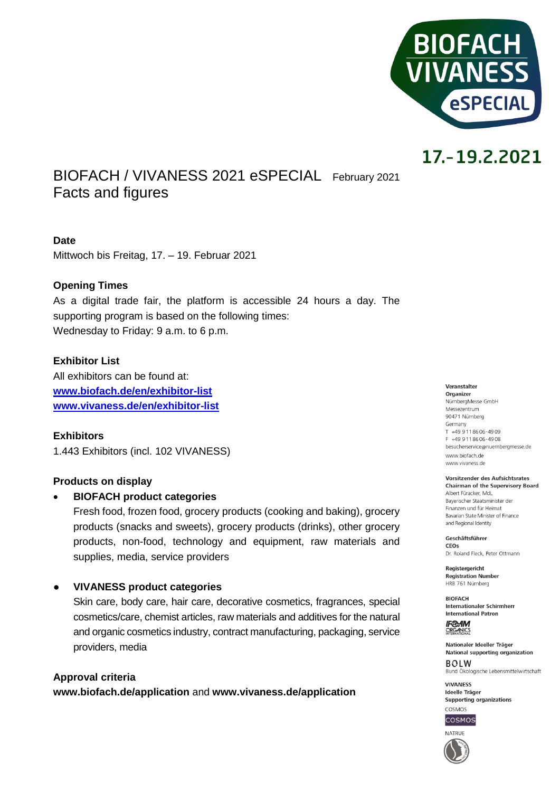

# 17.-19.2.2021

BIOFACH / VIVANESS 2021 eSPECIAL February <sup>2021</sup> Facts and figures

# **Date**

Mittwoch bis Freitag, 17. – 19. Februar 2021

# **Opening Times**

As a digital trade fair, the platform is accessible 24 hours a day. The supporting program is based on the following times: Wednesday to Friday: 9 a.m. to 6 p.m.

## **Exhibitor List**

All exhibitors can be found at: **[www.biofach.de/en/exhibitor-list](http://www.biofach.de/en/exhibitor-list) [www.vivaness.de/en/exhibitor-list](http://www.vivaness.de/en/exhibitor-list)**

**Exhibitors** 1.443 Exhibitors (incl. 102 VIVANESS)

## **Products on display**

## **BIOFACH product categories**

Fresh food, frozen food, grocery products (cooking and baking), grocery products (snacks and sweets), grocery products (drinks), other grocery products, non-food, technology and equipment, raw materials and supplies, media, service providers

## ● **VIVANESS product categories**

Skin care, body care, hair care, decorative cosmetics, fragrances, special cosmetics/care, chemist articles, raw materials and additives for the natural and organic cosmetics industry, contract manufacturing, packaging, service providers, media

**Approval criteria www.biofach.de/application** and **www.vivaness.de/application**

#### Veranstalter Organizer NürnbergMesse GmbH

Messezentrum 90471 Nürnberg Germany  $T + 499118606 - 4909$ F +49 911 86 06 - 49 08 besucherservice@nuernbergmesse.de www.biofach.de www.vivaness.de

#### Vorsitzender des Aufsichtsrates **Chairman of the Supervisory Board**

Albert Füracker, MdL Bayerischer Staatsminister der Finanzen und für Heimat Bavarian State Minister of Finance and Regional Identity

Geschäftsführer CEOS Dr. Roland Eleck, Peter Ottmann

Registergericht **Registration Number** HRB 761 Nürnberg

**BIOFACH** Internationaler Schirmherr **International Patron** 

**IF®AM** ORGANICS

Nationaler Ideeller Träger National supporting organization  $ROIM$ Bund Ökologische Lebensmittelwirtschaft

**VIVANESS** Ideelle Träger Supporting organizations



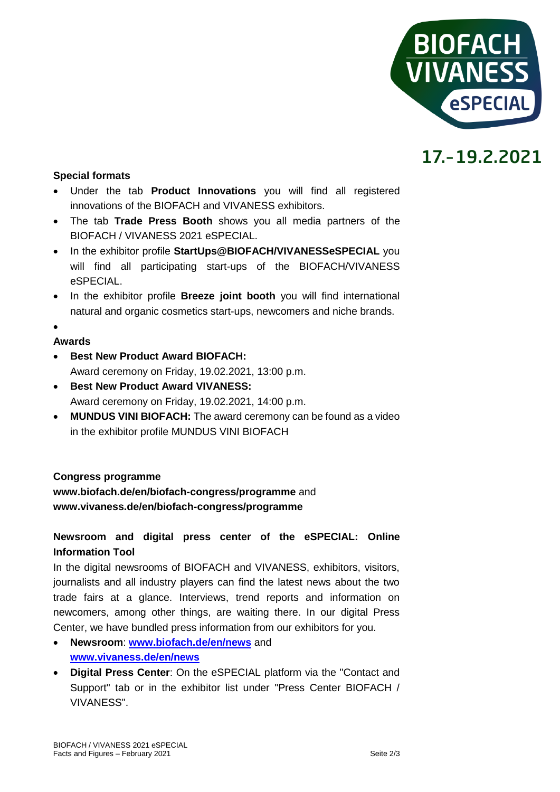

# 17.-19.2.2021

# **Special formats**

- Under the tab **Product Innovations** you will find all registered innovations of the BIOFACH and VIVANESS exhibitors.
- The tab **Trade Press Booth** shows you all media partners of the BIOFACH / VIVANESS 2021 eSPECIAL.
- In the exhibitor profile **StartUps@BIOFACH/VIVANESSeSPECIAL** you will find all participating start-ups of the BIOFACH/VIVANESS eSPECIAL.
- In the exhibitor profile **Breeze joint booth** you will find international natural and organic cosmetics start-ups, newcomers and niche brands.

## $\bullet$

# **Awards**

- **Best New Product Award BIOFACH:** Award ceremony on Friday, 19.02.2021, 13:00 p.m.
- **Best New Product Award VIVANESS:** Award ceremony on Friday, 19.02.2021, 14:00 p.m.
- **MUNDUS VINI BIOFACH:** The award ceremony can be found as a video in the exhibitor profile MUNDUS VINI BIOFACH

# **Congress programme**

**www.biofach.de/en/biofach-congress/programme** and **www.vivaness.de/en/biofach-congress/programme**

# **Newsroom and digital press center of the eSPECIAL: Online Information Tool**

In the digital newsrooms of BIOFACH and VIVANESS, exhibitors, visitors, journalists and all industry players can find the latest news about the two trade fairs at a glance. Interviews, trend reports and information on newcomers, among other things, are waiting there. In our digital Press Center, we have bundled press information from our exhibitors for you.

- **Newsroom**: **[www.biofach.de/en/news](http://www.biofach.de/en/news)** and **[www.vivaness.de/en/news](http://www.vivaness.de/en/news)**
- **Digital Press Center**: On the eSPECIAL platform via the "Contact and Support" tab or in the exhibitor list under "Press Center BIOFACH / VIVANESS".